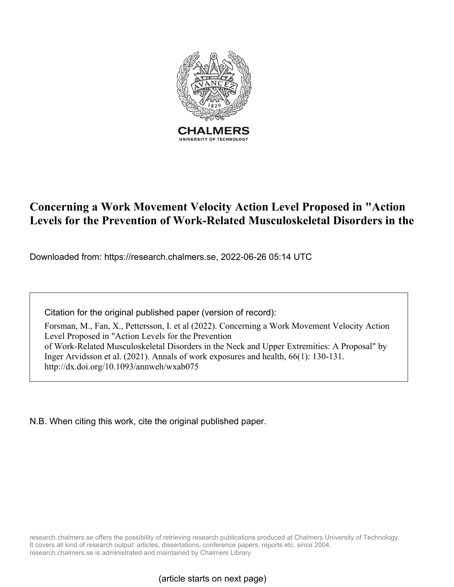

# **Concerning a Work Movement Velocity Action Level Proposed in "Action Levels for the Prevention of Work-Related Musculoskeletal Disorders in the**

Downloaded from: https://research.chalmers.se, 2022-06-26 05:14 UTC

Citation for the original published paper (version of record):

Forsman, M., Fan, X., Pettersson, I. et al (2022). Concerning a Work Movement Velocity Action Level Proposed in "Action Levels for the Prevention of Work-Related Musculoskeletal Disorders in the Neck and Upper Extremities: A Proposal" by Inger Arvidsson et al. (2021). Annals of work exposures and health, 66(1): 130-131. http://dx.doi.org/10.1093/annweh/wxab075

N.B. When citing this work, cite the original published paper.

research.chalmers.se offers the possibility of retrieving research publications produced at Chalmers University of Technology. It covers all kind of research output: articles, dissertations, conference papers, reports etc. since 2004. research.chalmers.se is administrated and maintained by Chalmers Library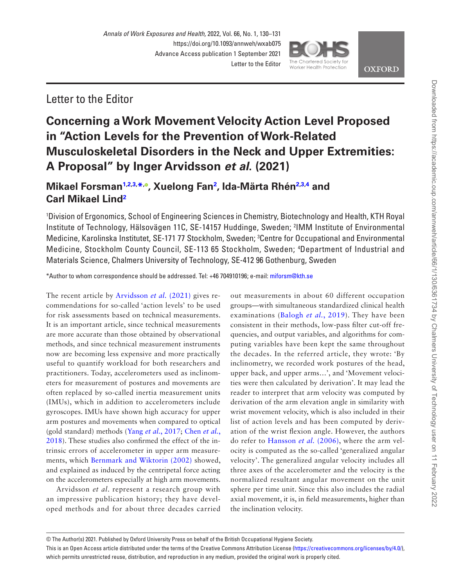

**OXFORD** 

### Letter to the Editor

## **Concerning a Work Movement Velocity Action Level Proposed in "Action Levels for the Prevention of Work-Related Musculoskeletal Disorders in the Neck and Upper Extremities: A Proposal" by Inger Arvidsson** *et al***. (2021)**

### **Mikael Forsman[1,](#page-1-0)[2](#page-1-1)[,3](#page-1-2), [\\*,](#page-1-3) [,](https://orcid.org/0000-0001-5777-4232) Xuelong Fan[2](#page-1-1) , Ida-Märta Rhén[2,](#page-1-1)[3,](#page-1-2)[4](#page-1-4) and Carl Mikael Lin[d2](#page-1-1)**

<span id="page-1-2"></span><span id="page-1-1"></span><span id="page-1-0"></span>1 Division of Ergonomics, School of Engineering Sciences in Chemistry, Biotechnology and Health, KTH Royal Institute of Technology, Hälsovägen 11C, SE-14157 Huddinge, Sweden; 2 IMM Institute of Environmental Medicine, Karolinska Institutet, SE-171 77 Stockholm, Sweden; 3 Centre for Occupational and Environmental Medicine, Stockholm County Council, SE-113 65 Stockholm, Sweden; 4 Department of Industrial and Materials Science, Chalmers University of Technology, SE-412 96 Gothenburg, Sweden

<span id="page-1-4"></span><span id="page-1-3"></span>\*Author to whom correspondence should be addressed. Tel: +46 704910196; e-mail: [miforsm@kth.se](mailto:miforsm@kth.se?subject=)

The recent article by [Arvidsson](#page-2-0) *et al.* (2021) gives recommendations for so-called 'action levels' to be used for risk assessments based on technical measurements. It is an important article, since technical measurements are more accurate than those obtained by observational methods, and since technical measurement instruments now are becoming less expensive and more practically useful to quantify workload for both researchers and practitioners. Today, accelerometers used as inclinometers for measurement of postures and movements are often replaced by so-called inertia measurement units (IMUs), which in addition to accelerometers include gyroscopes. IMUs have shown high accuracy for upper arm postures and movements when compared to optical (gold standard) methods (Yang *et al.*[, 2017;](#page-2-1) [Chen](#page-2-2) *et al.*, [2018](#page-2-2)). These studies also confirmed the effect of the intrinsic errors of accelerometer in upper arm measurements, which [Bernmark and Wiktorin \(2002\)](#page-2-3) showed, and explained as induced by the centripetal force acting on the accelerometers especially at high arm movements.

Arvidsson *et al*. represent a research group with an impressive publication history; they have developed methods and for about three decades carried out measurements in about 60 different occupation groups—with simultaneous standardized clinical health examinations ([Balogh](#page-2-4) *et al.*, 2019). They have been consistent in their methods, low-pass filter cut-off frequencies, and output variables, and algorithms for computing variables have been kept the same throughout the decades. In the referred article, they wrote: 'By inclinometry, we recorded work postures of the head, upper back, and upper arms…', and 'Movement velocities were then calculated by derivation'. It may lead the reader to interpret that arm velocity was computed by derivation of the arm elevation angle in similarity with wrist movement velocity, which is also included in their list of action levels and has been computed by derivation of the wrist flexion angle. However, the authors do refer to [Hansson](#page-2-5) *et al.* (2006), where the arm velocity is computed as the so-called 'generalized angular velocity'. The generalized angular velocity includes all three axes of the accelerometer and the velocity is the normalized resultant angular movement on the unit sphere per time unit. Since this also includes the radial axial movement, it is, in field measurements, higher than the inclination velocity.

© The Author(s) 2021. Published by Oxford University Press on behalf of the British Occupational Hygiene Society.

This is an Open Access article distributed under the terms of the Creative Commons Attribution License (<https://creativecommons.org/licenses/by/4.0/>), which permits unrestricted reuse, distribution, and reproduction in any medium, provided the original work is properly cited.